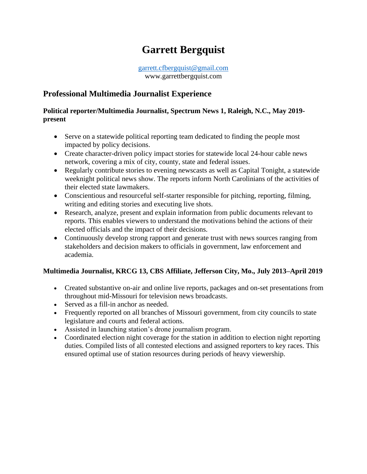# **Garrett Bergquist**

[garrett.cfbergquist@gmail.com](mailto:garrett.cfbergquist@gmail.com) www.garrettbergquist.com

## **Professional Multimedia Journalist Experience**

#### **Political reporter/Multimedia Journalist, Spectrum News 1, Raleigh, N.C., May 2019 present**

- Serve on a statewide political reporting team dedicated to finding the people most impacted by policy decisions.
- Create character-driven policy impact stories for statewide local 24-hour cable news network, covering a mix of city, county, state and federal issues.
- Regularly contribute stories to evening newscasts as well as Capital Tonight, a statewide weeknight political news show. The reports inform North Carolinians of the activities of their elected state lawmakers.
- Conscientious and resourceful self-starter responsible for pitching, reporting, filming, writing and editing stories and executing live shots.
- Research, analyze, present and explain information from public documents relevant to reports. This enables viewers to understand the motivations behind the actions of their elected officials and the impact of their decisions.
- Continuously develop strong rapport and generate trust with news sources ranging from stakeholders and decision makers to officials in government, law enforcement and academia.

#### **Multimedia Journalist, KRCG 13, CBS Affiliate, Jefferson City, Mo., July 2013–April 2019**

- Created substantive on-air and online live reports, packages and on-set presentations from throughout mid-Missouri for television news broadcasts.
- Served as a fill-in anchor as needed.
- Frequently reported on all branches of Missouri government, from city councils to state legislature and courts and federal actions.
- Assisted in launching station's drone journalism program.
- Coordinated election night coverage for the station in addition to election night reporting duties. Compiled lists of all contested elections and assigned reporters to key races. This ensured optimal use of station resources during periods of heavy viewership.